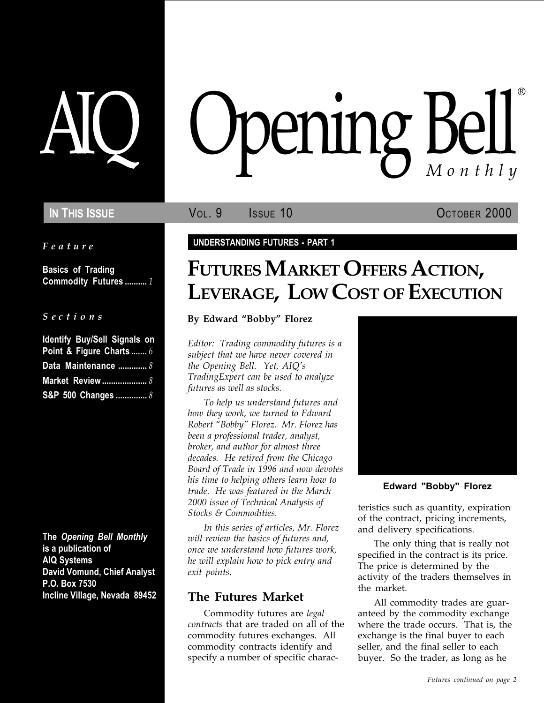Feature

Basics of Trading Commodity Futures .......... 1

|  |  |  | Sections |  |
|--|--|--|----------|--|
|  |  |  |          |  |

| <b>Identify Buy/Sell Signals on</b> |
|-------------------------------------|
| Point & Figure Charts  6            |
| Data Maintenance  8                 |
|                                     |
| S&P 500 Changes  8                  |

The Opening Bell Monthly is a publication of AIQ Systems David Vomund, Chief Analyst P.O. Box 7530 Incline Village, Nevada 89452

# pening Bell ®

IN THIS ISSUE **VOL. 9** ISSUE 10 OCTOBER 2000

# UNDERSTANDING FUTURES - PART 1

# FUTURES MARKET OFFERS ACTION, LEVERAGE, LOW COST OF EXECUTION

# By Edward "Bobby" Florez

Editor: Trading commodity futures is a subject that we have never covered in the Opening Bell. Yet, AIQ's TradingExpert can be used to analyze futures as well as stocks.

To help us understand futures and how they work, we turned to Edward Robert "Bobby" Florez. Mr. Florez has been a professional trader, analyst, broker, and author for almost three decades. He retired from the Chicago Board of Trade in 1996 and now devotes his time to helping others learn how to trade. He was featured in the March 2000 issue of Technical Analysis of Stocks & Commodities.

In this series of articles, Mr. Florez will review the basics of futures and, once we understand how futures work, he will explain how to pick entry and exit points.

# The Futures Market

Commodity futures are legal contracts that are traded on all of the commodity futures exchanges. All commodity contracts identify and specify a number of specific charac-



Edward "Bobby" Florez

teristics such as quantity, expiration of the contract, pricing increments, and delivery specifications.

The only thing that is really not specified in the contract is its price. The price is determined by the activity of the traders themselves in the market.

All commodity trades are guaranteed by the commodity exchange where the trade occurs. That is, the exchange is the final buyer to each seller, and the final seller to each buyer. So the trader, as long as he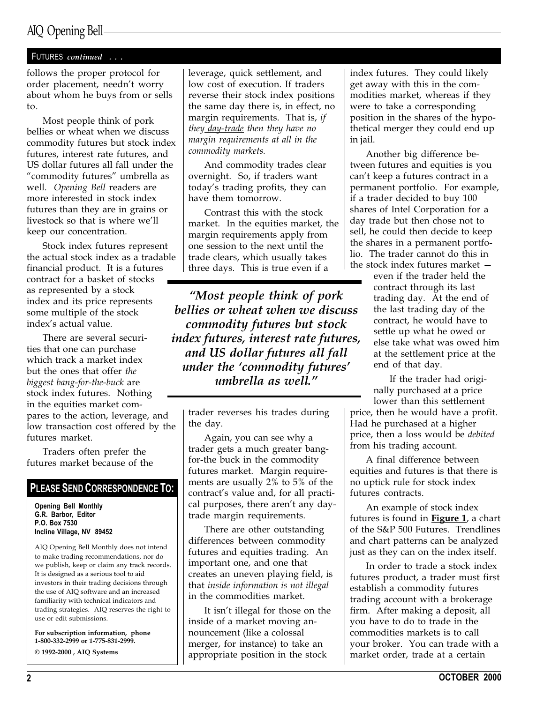# AIQ Opening Bell

# FUTURES continued . . .

follows the proper protocol for order placement, needn't worry about whom he buys from or sells to.

Most people think of pork bellies or wheat when we discuss commodity futures but stock index futures, interest rate futures, and US dollar futures all fall under the "commodity futures" umbrella as well. Opening Bell readers are more interested in stock index futures than they are in grains or livestock so that is where we'll keep our concentration.

Stock index futures represent the actual stock index as a tradable financial product. It is a futures contract for a basket of stocks as represented by a stock index and its price represents some multiple of the stock index's actual value.

There are several securities that one can purchase which track a market index but the ones that offer the biggest bang-for-the-buck are stock index futures. Nothing in the equities market compares to the action, leverage, and low transaction cost offered by the futures market.

Traders often prefer the futures market because of the

# PLEASE SEND CORRESPONDENCE TO:

Opening Bell Monthly G.R. Barbor, Editor P.O. Box 7530 Incline Village, NV 89452

AIQ Opening Bell Monthly does not intend to make trading recommendations, nor do we publish, keep or claim any track records. It is designed as a serious tool to aid investors in their trading decisions through the use of AIQ software and an increased familiarity with technical indicators and trading strategies. AIQ reserves the right to use or edit submissions.

For subscription information, phone 1-800-332-2999 or 1-775-831-2999. © 1992-2000 , AIQ Systems

leverage, quick settlement, and low cost of execution. If traders reverse their stock index positions the same day there is, in effect, no margin requirements. That is, if they day-trade then they have no margin requirements at all in the commodity markets.

And commodity trades clear overnight. So, if traders want today's trading profits, they can have them tomorrow.

Contrast this with the stock market. In the equities market, the margin requirements apply from one session to the next until the trade clears, which usually takes three days. This is true even if a

Most people think of pork bellies or wheat when we discuss commodity futures but stock index futures, interest rate futures, and US dollar futures all fall under the 'commodity futures' umbrella as well.

trader reverses his trades during the day.

Again, you can see why a trader gets a much greater bangfor-the buck in the commodity futures market. Margin requirements are usually 2% to 5% of the contract's value and, for all practical purposes, there aren't any daytrade margin requirements.

There are other outstanding differences between commodity futures and equities trading. An important one, and one that creates an uneven playing field, is that inside information is not illegal in the commodities market.

It isn't illegal for those on the inside of a market moving announcement (like a colossal merger, for instance) to take an appropriate position in the stock

index futures. They could likely get away with this in the commodities market, whereas if they were to take a corresponding position in the shares of the hypothetical merger they could end up in jail.

Another big difference between futures and equities is you can't keep a futures contract in a permanent portfolio. For example, if a trader decided to buy 100 shares of Intel Corporation for a day trade but then chose not to sell, he could then decide to keep the shares in a permanent portfolio. The trader cannot do this in the stock index futures market

even if the trader held the contract through its last trading day. At the end of the last trading day of the contract, he would have to settle up what he owed or else take what was owed him at the settlement price at the end of that day.

If the trader had originally purchased at a price lower than this settlement

price, then he would have a profit. Had he purchased at a higher price, then a loss would be debited from his trading account.

A final difference between equities and futures is that there is no uptick rule for stock index futures contracts.

An example of stock index futures is found in **Figure 1**, a chart of the S&P 500 Futures. Trendlines and chart patterns can be analyzed just as they can on the index itself.

In order to trade a stock index futures product, a trader must first establish a commodity futures trading account with a brokerage firm. After making a deposit, all you have to do to trade in the commodities markets is to call your broker. You can trade with a market order, trade at a certain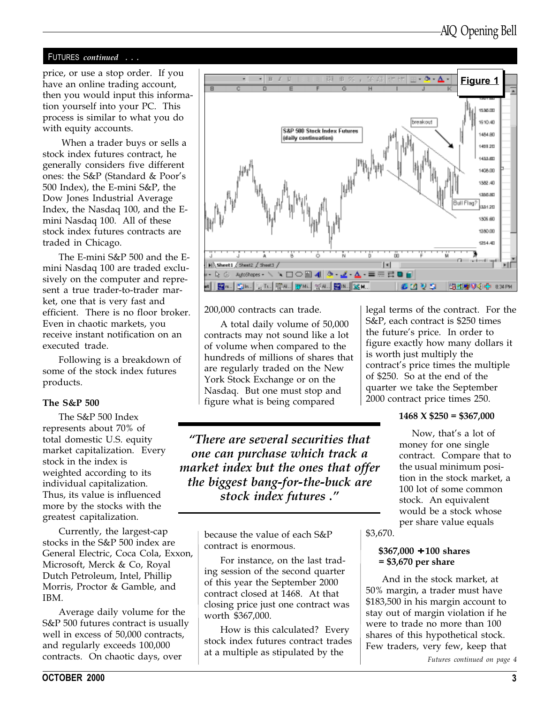# FUTURES continued . . .

have an online trading account, then you would input this information yourself into your PC. This process is similar to what you do with equity accounts.

 When a trader buys or sells a stock index futures contract, he generally considers five different ones: the S&P (Standard & Poor's 500 Index), the E-mini S&P, the Dow Jones Industrial Average Index, the Nasdaq 100, and the Emini Nasdaq 100. All of these stock index futures contracts are traded in Chicago.

The E-mini S&P 500 and the Emini Nasdaq 100 are traded exclusively on the computer and represent a true trader-to-trader market, one that is very fast and efficient. There is no floor broker. Even in chaotic markets, you receive instant notification on an executed trade.

Following is a breakdown of some of the stock index futures products.

# The S&P 500

The S&P 500 Index represents about 70% of total domestic U.S. equity market capitalization. Every stock in the index is weighted according to its individual capitalization. Thus, its value is influenced more by the stocks with the greatest capitalization.

Currently, the largest-cap stocks in the S&P 500 index are General Electric, Coca Cola, Exxon, Microsoft, Merck & Co, Royal Dutch Petroleum, Intel, Phillip Morris, Proctor & Gamble, and IBM.

Average daily volume for the S&P 500 futures contract is usually well in excess of 50,000 contracts, and regularly exceeds 100,000 contracts. On chaotic days, over



200,000 contracts can trade.

A total daily volume of 50,000 contracts may not sound like a lot of volume when compared to the hundreds of millions of shares that are regularly traded on the New York Stock Exchange or on the Nasdaq. But one must stop and figure what is being compared

There are several securities that one can purchase which track a market index but the ones that offer the biggest bang-for-the-buck are stock index futures .

> because the value of each S&P contract is enormous.

For instance, on the last trading session of the second quarter of this year the September 2000 contract closed at 1468. At that closing price just one contract was worth \$367,000.

How is this calculated? Every stock index futures contract trades at a multiple as stipulated by the

legal terms of the contract. For the S&P, each contract is \$250 times the future's price. In order to figure exactly how many dollars it is worth just multiply the contract's price times the multiple of \$250. So at the end of the quarter we take the September 2000 contract price times 250.

## $1468 \text{ X } $250 = $367,000$

Now, that's a lot of money for one single contract. Compare that to the usual minimum position in the stock market, a 100 lot of some common stock. An equivalent would be a stock whose per share value equals

\$3,670.

# \$367,000 ÷ 100 shares = \$3,670 per share

And in the stock market, at 50% margin, a trader must have \$183,500 in his margin account to stay out of margin violation if he were to trade no more than 100 shares of this hypothetical stock. Few traders, very few, keep that

Futures continued on page 4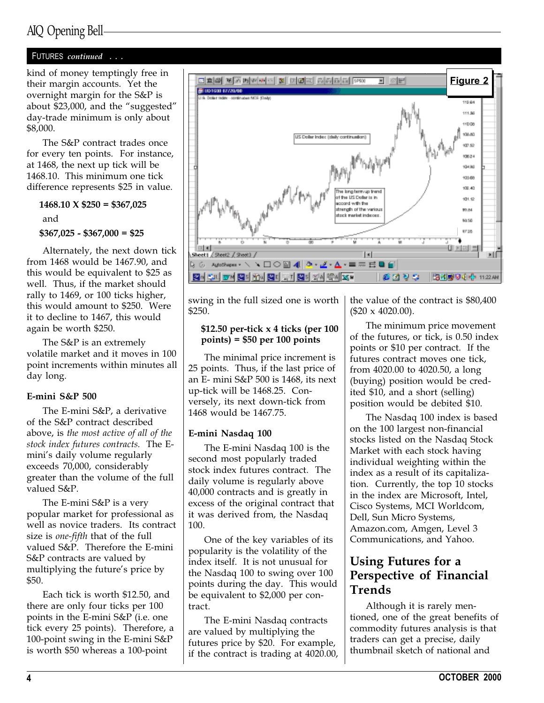# AIQ Opening Bell

# FUTURES continued . . .

their margin accounts. Yet the overnight margin for the S&P is about \$23,000, and the "suggested" day-trade minimum is only about \$8,000.

The S&P contract trades once for every ten points. For instance, at 1468, the next up tick will be 1468.10. This minimum one tick difference represents \$25 in value.

 $1468.10 \text{ X } $250 = $367,025$ and \$367,025 - \$367,000 = \$25

Alternately, the next down tick from 1468 would be 1467.90, and this would be equivalent to \$25 as well. Thus, if the market should rally to 1469, or 100 ticks higher, this would amount to \$250. Were it to decline to 1467, this would again be worth \$250.

The S&P is an extremely volatile market and it moves in 100 point increments within minutes all day long.

### E-mini S&P 500

The E-mini S&P, a derivative of the S&P contract described above, is the most active of all of the stock index futures contracts. The Emini's daily volume regularly exceeds 70,000, considerably greater than the volume of the full valued S&P.

The E-mini S&P is a very popular market for professional as well as novice traders. Its contract size is one-fifth that of the full valued S&P. Therefore the E-mini S&P contracts are valued by multiplying the future's price by \$50.

Each tick is worth \$12.50, and there are only four ticks per 100 points in the E-mini S&P (i.e. one tick every 25 points). Therefore, a 100-point swing in the E-mini S&P is worth \$50 whereas a 100-point



swing in the full sized one is worth \$250.

## \$12.50 per-tick x 4 ticks (per 100 points) = \$50 per 100 points

The minimal price increment is 25 points. Thus, if the last price of an E- mini S&P 500 is 1468, its next up-tick will be 1468.25. Conversely, its next down-tick from 1468 would be 1467.75.

### E-mini Nasdaq 100

The E-mini Nasdaq 100 is the second most popularly traded stock index futures contract. The daily volume is regularly above 40,000 contracts and is greatly in excess of the original contract that it was derived from, the Nasdaq 100.

One of the key variables of its popularity is the volatility of the index itself. It is not unusual for the Nasdaq 100 to swing over 100 points during the day. This would be equivalent to \$2,000 per contract.

The E-mini Nasdaq contracts are valued by multiplying the futures price by \$20. For example, if the contract is trading at 4020.00, the value of the contract is \$80,400 (\$20 x 4020.00).

The minimum price movement of the futures, or tick, is 0.50 index points or \$10 per contract. If the futures contract moves one tick, from 4020.00 to 4020.50, a long (buying) position would be credited \$10, and a short (selling) position would be debited \$10.

The Nasdaq 100 index is based on the 100 largest non-financial stocks listed on the Nasdaq Stock Market with each stock having individual weighting within the index as a result of its capitalization. Currently, the top 10 stocks in the index are Microsoft, Intel, Cisco Systems, MCI Worldcom, Dell, Sun Micro Systems, Amazon.com, Amgen, Level 3 Communications, and Yahoo.

# Using Futures for a Perspective of Financial Trends

Although it is rarely mentioned, one of the great benefits of commodity futures analysis is that traders can get a precise, daily thumbnail sketch of national and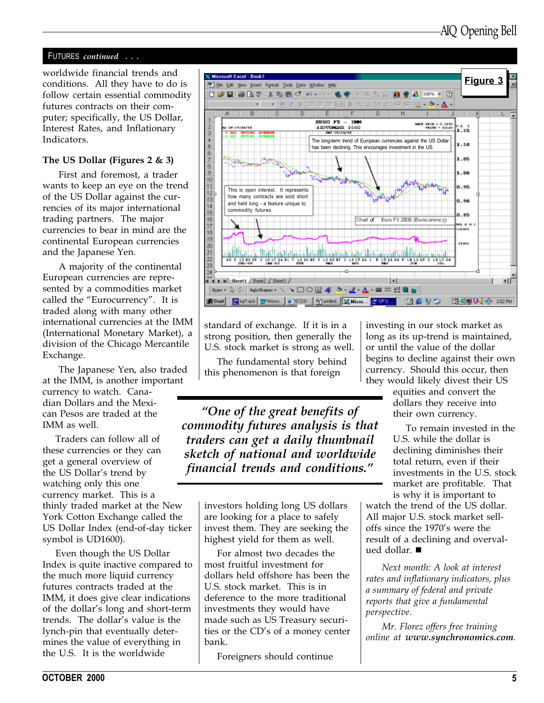# FUTURES continued . . .

worldwide financial trends and conditions. All they have to do is follow certain essential commodity futures contracts on their computer; specifically, the US Dollar, Interest Rates, and Inflationary Indicators.

# The US Dollar (Figures 2  $\&$  3)

First and foremost, a trader wants to keep an eye on the trend of the US Dollar against the currencies of its major international trading partners. The major currencies to bear in mind are the continental European currencies and the Japanese Yen.

A majority of the continental European currencies are represented by a commodities market called the "Eurocurrency". It is traded along with many other international currencies at the IMM (International Monetary Market), a division of the Chicago Mercantile Exchange.

The Japanese Yen, also traded at the IMM, is another important currency to watch. Canadian Dollars and the Mexican Pesos are traded at the IMM as well.

Traders can follow all of these currencies or they can get a general overview of the US Dollar's trend by watching only this one currency market. This is a thinly traded market at the New York Cotton Exchange called the US Dollar Index (end-of-day ticker symbol is UD1600).

Even though the US Dollar Index is quite inactive compared to the much more liquid currency futures contracts traded at the IMM, it does give clear indications of the dollar's long and short-term trends. The dollar's value is the lynch-pin that eventually determines the value of everything in the U.S. It is the worldwide



standard of exchange. If it is in a strong position, then generally the U.S. stock market is strong as well.

The fundamental story behind this phenomenon is that foreign

One of the great benefits of commodity futures analysis is that traders can get a daily thumbnail sketch of national and worldwide financial trends and conditions.

> investors holding long US dollars are looking for a place to safely invest them. They are seeking the highest yield for them as well.

> For almost two decades the most fruitful investment for dollars held offshore has been the U.S. stock market. This is in deference to the more traditional investments they would have made such as US Treasury securities or the CD's of a money center bank.

Foreigners should continue

investing in our stock market as long as its up-trend is maintained, or until the value of the dollar begins to decline against their own currency. Should this occur, then they would likely divest their US

> equities and convert the dollars they receive into their own currency.

To remain invested in the U.S. while the dollar is declining diminishes their total return, even if their investments in the U.S. stock market are profitable. That is why it is important to

watch the trend of the US dollar. All major U.S. stock market selloffs since the 1970's were the result of a declining and overvalued dollar.  $\blacksquare$ 

Next month: A look at interest rates and inflationary indicators, plus a summary of federal and private reports that give a fundamental perspective.

Mr. Florez offers free training online at www.synchronomics.com.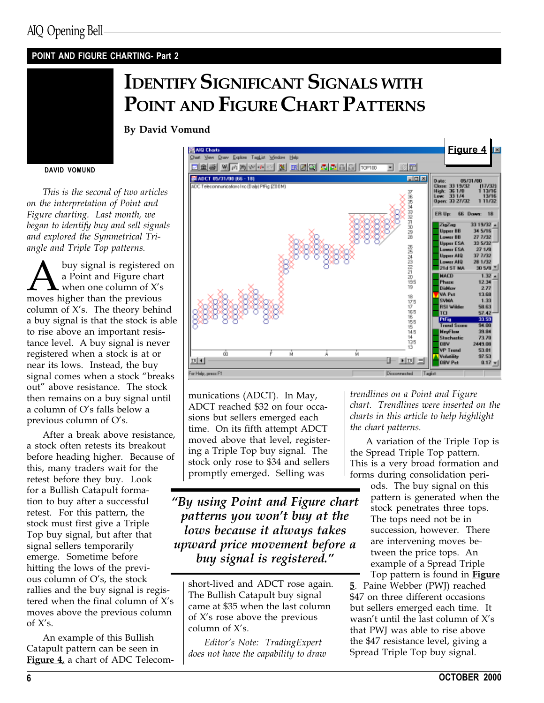# POINT AND FIGURE CHARTING- Part 2

# IDENTIFY SIGNIFICANT SIGNALS WITH POINT AND FIGURE CHART PATTERNS

By David Vomund

#### DAVID VOMUND

This is the second of two articles on the interpretation of Point and Figure charting. Last month, we began to identify buy and sell signals and explored the Symmetrical Triangle and Triple Top patterns.

A buy signal is registered on<br>a Point and Figure chart<br>moves higher than the previous a Point and Figure chart when one column of  $X's$ column of  $X$ 's. The theory behind a buy signal is that the stock is able to rise above an important resistance level. A buy signal is never registered when a stock is at or near its lows. Instead, the buy signal comes when a stock "breaks out" above resistance. The stock then remains on a buy signal until a column of O's falls below a previous column of O's.

After a break above resistance, a stock often retests its breakout before heading higher. Because of this, many traders wait for the retest before they buy. Look for a Bullish Catapult formation to buy after a successful retest. For this pattern, the stock must first give a Triple Top buy signal, but after that signal sellers temporarily emerge. Sometime before hitting the lows of the previous column of  $O's$ , the stock rallies and the buy signal is registered when the final column of  $X's$ moves above the previous column of  $X's$ .

An example of this Bullish Catapult pattern can be seen in Figure 4, a chart of ADC Telecom-



munications (ADCT). In May, ADCT reached \$32 on four occasions but sellers emerged each time. On its fifth attempt ADCT moved above that level, registering a Triple Top buy signal. The stock only rose to \$34 and sellers promptly emerged. Selling was

By using Point and Figure chart patterns you won't buy at the lows because it always takes upward price movement before a buy signal is registered."

short-lived and ADCT rose again. The Bullish Catapult buy signal came at \$35 when the last column of  $X$ 's rose above the previous column of  $X$ 's.

Editor's Note: TradingExpert does not have the capability to draw trendlines on a Point and Figure chart. Trendlines were inserted on the charts in this article to help highlight the chart patterns.

A variation of the Triple Top is the Spread Triple Top pattern. This is a very broad formation and forms during consolidation peri-

ods. The buy signal on this pattern is generated when the stock penetrates three tops. The tops need not be in succession, however. There are intervening moves between the price tops. An example of a Spread Triple

Top pattern is found in **Figure** 5. Paine Webber (PWJ) reached \$47 on three different occasions but sellers emerged each time. It wasn't until the last column of  $X's$ that PWJ was able to rise above the \$47 resistance level, giving a Spread Triple Top buy signal.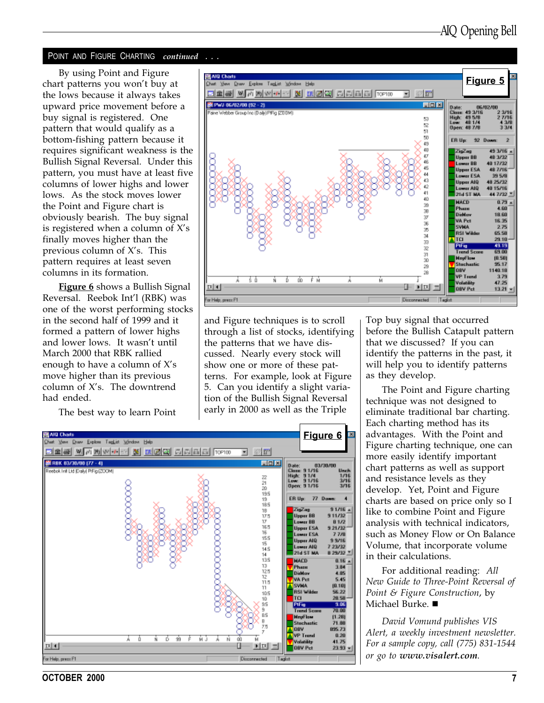## POINT AND FIGURE CHARTING continued . . .

chart patterns you won't buy at the lows because it always takes upward price movement before a buy signal is registered. One pattern that would qualify as a bottom-fishing pattern because it requires significant weakness is the Bullish Signal Reversal. Under this pattern, you must have at least five columns of lower highs and lower lows. As the stock moves lower the Point and Figure chart is obviously bearish. The buy signal is registered when a column of  $X's$ finally moves higher than the previous column of  $X$ 's. This pattern requires at least seven columns in its formation.

**Figure 6** shows a Bullish Signal Reversal. Reebok Int'l (RBK) was one of the worst performing stocks in the second half of 1999 and it formed a pattern of lower highs and lower lows. It wasn't until March 2000 that RBK rallied enough to have a column of  $X's$ move higher than its previous column of  $X$ 's. The downtrend had ended.

The best way to learn Point



and Figure techniques is to scroll through a list of stocks, identifying the patterns that we have discussed. Nearly every stock will show one or more of these patterns. For example, look at Figure 5. Can you identify a slight variation of the Bullish Signal Reversal early in 2000 as well as the Triple

Top buy signal that occurred before the Bullish Catapult pattern that we discussed? If you can identify the patterns in the past, it will help you to identify patterns as they develop.

The Point and Figure charting technique was not designed to eliminate traditional bar charting. Each charting method has its advantages. With the Point and Figure charting technique, one can more easily identify important chart patterns as well as support and resistance levels as they develop. Yet, Point and Figure charts are based on price only so I like to combine Point and Figure analysis with technical indicators, such as Money Flow or On Balance Volume, that incorporate volume in their calculations.

For additional reading: All New Guide to Three-Point Reversal of Point & Figure Construction, by Michael Burke.  $\blacksquare$ 

David Vomund publishes VIS Alert, a weekly investment newsletter. For a sample copy, call (775) 831-1544 or go to www.visalert.com.